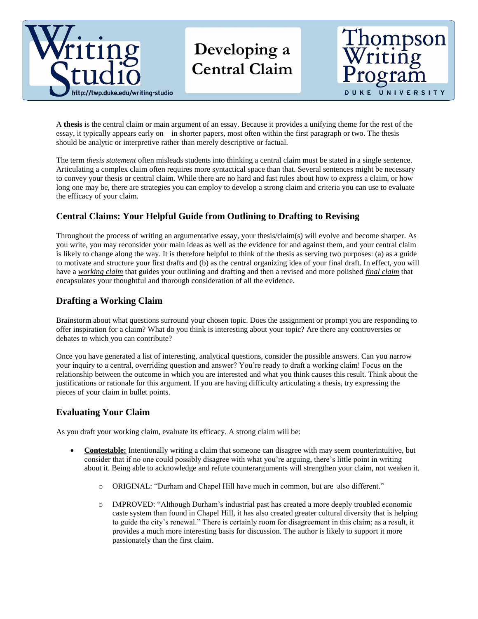

# **Developing a Central Claim**



A **thesis** is the central claim or main argument of an essay. Because it provides a unifying theme for the rest of the essay, it typically appears early on—in shorter papers, most often within the first paragraph or two. The thesis should be analytic or interpretive rather than merely descriptive or factual.

The term *thesis statement* often misleads students into thinking a central claim must be stated in a single sentence. Articulating a complex claim often requires more syntactical space than that. Several sentences might be necessary to convey your thesis or central claim. While there are no hard and fast rules about how to express a claim, or how long one may be, there are strategies you can employ to develop a strong claim and criteria you can use to evaluate the efficacy of your claim.

## **Central Claims: Your Helpful Guide from Outlining to Drafting to Revising**

Throughout the process of writing an argumentative essay, your thesis/claim(s) will evolve and become sharper. As you write, you may reconsider your main ideas as well as the evidence for and against them, and your central claim is likely to change along the way. It is therefore helpful to think of the thesis as serving two purposes: (a) as a guide to motivate and structure your first drafts and (b) as the central organizing idea of your final draft. In effect, you will have a *working claim* that guides your outlining and drafting and then a revised and more polished *final claim* that encapsulates your thoughtful and thorough consideration of all the evidence.

### **Drafting a Working Claim**

Brainstorm about what questions surround your chosen topic. Does the assignment or prompt you are responding to offer inspiration for a claim? What do you think is interesting about your topic? Are there any controversies or debates to which you can contribute?

Once you have generated a list of interesting, analytical questions, consider the possible answers. Can you narrow your inquiry to a central, overriding question and answer? You're ready to draft a working claim! Focus on the relationship between the outcome in which you are interested and what you think causes this result. Think about the justifications or rationale for this argument. If you are having difficulty articulating a thesis, try expressing the pieces of your claim in bullet points.

### **Evaluating Your Claim**

As you draft your working claim, evaluate its efficacy. A strong claim will be:

- **Contestable:** Intentionally writing a claim that someone can disagree with may seem counterintuitive, but consider that if no one could possibly disagree with what you're arguing, there's little point in writing about it. Being able to acknowledge and refute counterarguments will strengthen your claim, not weaken it.
	- o ORIGINAL: "Durham and Chapel Hill have much in common, but are also different."
	- o IMPROVED: "Although Durham's industrial past has created a more deeply troubled economic caste system than found in Chapel Hill, it has also created greater cultural diversity that is helping to guide the city's renewal." There is certainly room for disagreement in this claim; as a result, it provides a much more interesting basis for discussion. The author is likely to support it more passionately than the first claim.